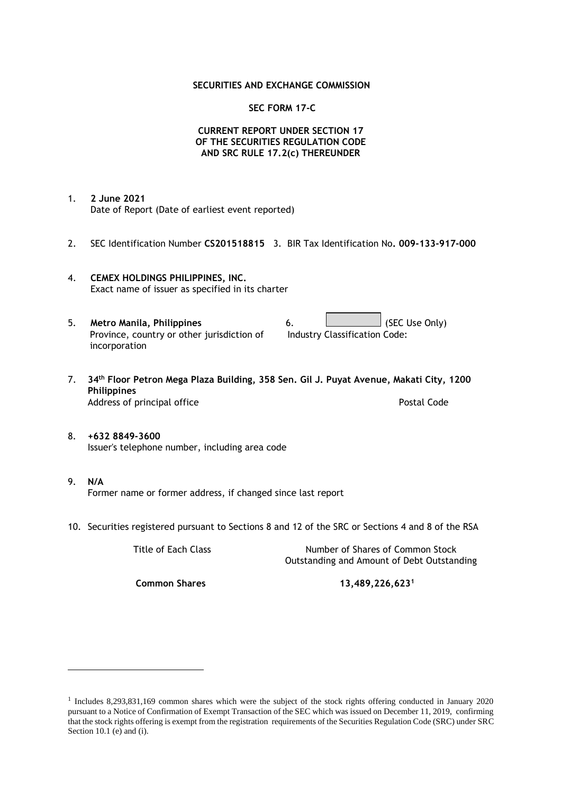#### **SECURITIES AND EXCHANGE COMMISSION**

### **SEC FORM 17-C**

### **CURRENT REPORT UNDER SECTION 17 OF THE SECURITIES REGULATION CODE AND SRC RULE 17.2(c) THEREUNDER**

- 1. **2 June 2021** Date of Report (Date of earliest event reported)
- 2. SEC Identification Number **CS201518815** 3. BIR Tax Identification No**. 009-133-917-000**
- 4. **CEMEX HOLDINGS PHILIPPINES, INC.** Exact name of issuer as specified in its charter
- 5. **Metro Manila, Philippines** 6. **Consumers 6.** (SEC Use Only) Province, country or other jurisdiction of incorporation Industry Classification Code:
- 7. **34th Floor Petron Mega Plaza Building, 358 Sen. Gil J. Puyat Avenue, Makati City, 1200 Philippines** Address of principal office **Postal Code** Postal Code
- 8. **+632 8849-3600** Issuer's telephone number, including area code
- 9. **N/A** Former name or former address, if changed since last report
- 10. Securities registered pursuant to Sections 8 and 12 of the SRC or Sections 4 and 8 of the RSA

Title of Each Class Number of Shares of Common Stock Outstanding and Amount of Debt Outstanding

**Common Shares 13,489,226,623<sup>1</sup>**

<sup>1</sup> Includes 8,293,831,169 common shares which were the subject of the stock rights offering conducted in January 2020 pursuant to a Notice of Confirmation of Exempt Transaction of the SEC which was issued on December 11, 2019, confirming that the stock rights offering is exempt from the registration requirements of the Securities Regulation Code (SRC) under SRC Section 10.1 (e) and (i).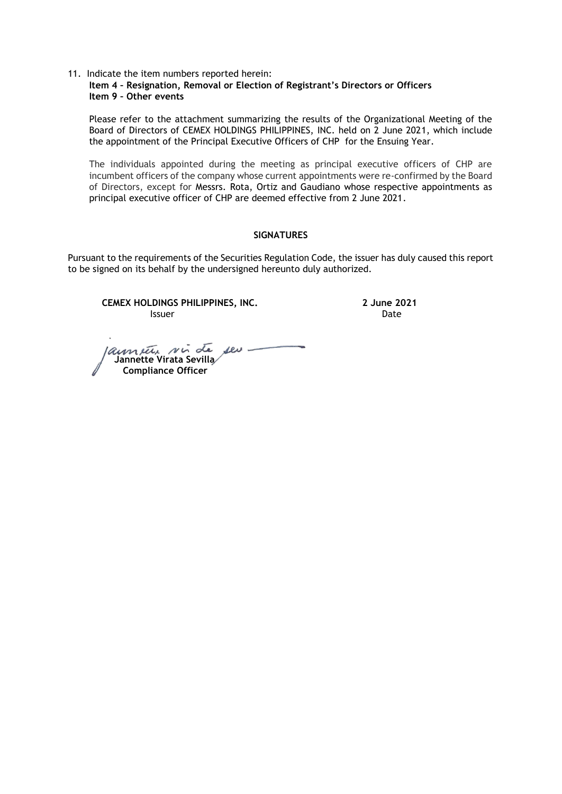11. Indicate the item numbers reported herein: **Item 4 – Resignation, Removal or Election of Registrant's Directors or Officers Item 9 – Other events**

Please refer to the attachment summarizing the results of the Organizational Meeting of the Board of Directors of CEMEX HOLDINGS PHILIPPINES, INC. held on 2 June 2021, which include the appointment of the Principal Executive Officers of CHP for the Ensuing Year.

The individuals appointed during the meeting as principal executive officers of CHP are incumbent officers of the company whose current appointments were re-confirmed by the Board of Directors, except for Messrs. Rota, Ortiz and Gaudiano whose respective appointments as principal executive officer of CHP are deemed effective from 2 June 2021.

### **SIGNATURES**

Pursuant to the requirements of the Securities Regulation Code, the issuer has duly caused this report to be signed on its behalf by the undersigned hereunto duly authorized.

**CEMEX HOLDINGS PHILIPPINES, INC. 2 June 2021 Issuer Date** 

 **Jannette Virata Sevilla Compliance Officer**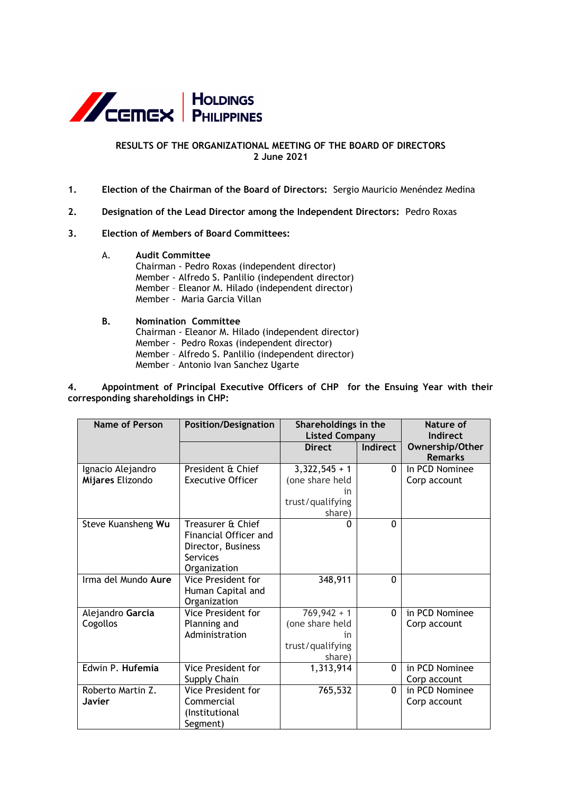

# **RESULTS OF THE ORGANIZATIONAL MEETING OF THE BOARD OF DIRECTORS 2 June 2021**

- **1. Election of the Chairman of the Board of Directors:** Sergio Mauricio Menéndez Medina
- **2. Designation of the Lead Director among the Independent Directors:** Pedro Roxas
- **3. Election of Members of Board Committees:**
	- A. **Audit Committee**

Chairman - Pedro Roxas (independent director) Member - Alfredo S. Panlilio (independent director) Member – Eleanor M. Hilado (independent director) Member - Maria Garcia Villan

## **B. Nomination Committee** Chairman - Eleanor M. Hilado (independent director) Member - Pedro Roxas (independent director) Member – Alfredo S. Panlilio (independent director) Member – Antonio Ivan Sanchez Ugarte

**4. Appointment of Principal Executive Officers of CHP for the Ensuing Year with their corresponding shareholdings in CHP:**

| Name of Person                        | <b>Position/Designation</b>                                                                  | Shareholdings in the<br><b>Listed Company</b>                          |          | Nature of<br>Indirect             |
|---------------------------------------|----------------------------------------------------------------------------------------------|------------------------------------------------------------------------|----------|-----------------------------------|
|                                       |                                                                                              | <b>Direct</b>                                                          | Indirect | Ownership/Other<br><b>Remarks</b> |
| Ignacio Alejandro<br>Mijares Elizondo | President & Chief<br><b>Executive Officer</b>                                                | $3,322,545 + 1$<br>(one share held<br>in<br>trust/qualifying<br>share) | 0        | In PCD Nominee<br>Corp account    |
| Steve Kuansheng Wu                    | Treasurer & Chief<br>Financial Officer and<br>Director, Business<br>Services<br>Organization | n                                                                      | $\Omega$ |                                   |
| Irma del Mundo Aure                   | Vice President for<br>Human Capital and<br>Organization                                      | 348,911                                                                | $\Omega$ |                                   |
| Alejandro Garcia<br>Cogollos          | Vice President for<br>Planning and<br>Administration                                         | $769,942 + 1$<br>(one share held<br>in<br>trust/qualifying<br>share)   | $\Omega$ | in PCD Nominee<br>Corp account    |
| Edwin P. Hufemia                      | Vice President for<br>Supply Chain                                                           | 1,313,914                                                              | $\Omega$ | in PCD Nominee<br>Corp account    |
| Roberto Martin Z.<br><b>Javier</b>    | Vice President for<br>Commercial<br>(Institutional<br>Segment)                               | 765,532                                                                | $\Omega$ | in PCD Nominee<br>Corp account    |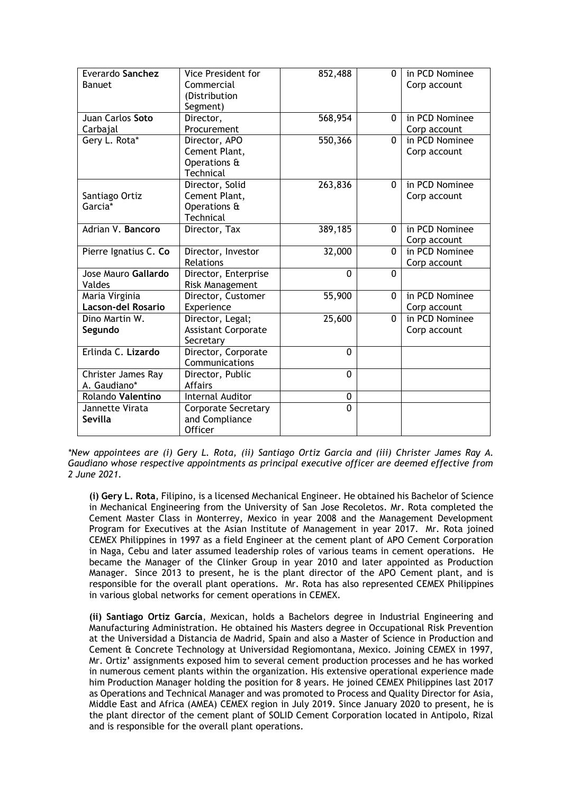| Everardo Sanchez<br><b>Banuet</b> | <b>Vice President for</b><br>Commercial<br>(Distribution | 852,488  | $\Omega$ | in PCD Nominee<br>Corp account |
|-----------------------------------|----------------------------------------------------------|----------|----------|--------------------------------|
|                                   | Segment)                                                 |          |          |                                |
| Juan Carlos Soto                  | Director,                                                | 568,954  | $\Omega$ | in PCD Nominee                 |
| Carbajal                          | Procurement                                              |          |          | Corp account                   |
| Gery L. Rota*                     | Director, APO                                            | 550,366  | $\Omega$ | in PCD Nominee                 |
|                                   | Cement Plant,                                            |          |          | Corp account                   |
|                                   | Operations &                                             |          |          |                                |
|                                   | Technical                                                |          |          |                                |
|                                   | Director, Solid                                          | 263,836  | $\Omega$ | in PCD Nominee                 |
| Santiago Ortiz                    | Cement Plant,                                            |          |          | Corp account                   |
| Garcia*                           | Operations &                                             |          |          |                                |
|                                   | Technical                                                |          |          |                                |
| Adrian V. Bancoro                 | Director, Tax                                            | 389,185  | $\Omega$ | in PCD Nominee                 |
|                                   |                                                          |          |          | Corp account                   |
| Pierre Ignatius C. Co             | Director, Investor                                       | 32,000   | $\Omega$ | in PCD Nominee                 |
|                                   | Relations                                                |          |          | Corp account                   |
| Jose Mauro Gallardo               | Director, Enterprise                                     | $\Omega$ | $\Omega$ |                                |
| Valdes                            | Risk Management                                          |          |          |                                |
| Maria Virginia                    | Director, Customer                                       | 55,900   | $\Omega$ | in PCD Nominee                 |
| <b>Lacson-del Rosario</b>         | Experience                                               |          |          | Corp account                   |
| Dino Martin W.                    | Director, Legal;                                         | 25,600   | $\Omega$ | in PCD Nominee                 |
| Segundo                           | <b>Assistant Corporate</b>                               |          |          | Corp account                   |
|                                   | Secretary                                                |          |          |                                |
| Erlinda C. Lizardo                | Director, Corporate                                      | $\Omega$ |          |                                |
|                                   | Communications                                           |          |          |                                |
| Christer James Ray                | Director, Public                                         | $\Omega$ |          |                                |
| A. Gaudiano*                      | <b>Affairs</b>                                           |          |          |                                |
| Rolando Valentino                 | <b>Internal Auditor</b>                                  | 0        |          |                                |
| Jannette Virata                   | <b>Corporate Secretary</b>                               | $\Omega$ |          |                                |
| <b>Sevilla</b>                    | and Compliance                                           |          |          |                                |
|                                   | Officer                                                  |          |          |                                |

*\*New appointees are (i) Gery L. Rota, (ii) Santiago Ortiz Garcia and (iii) Christer James Ray A. Gaudiano whose respective appointments as principal executive officer are deemed effective from 2 June 2021.* 

**(i) Gery L. Rota**, Filipino, is a licensed Mechanical Engineer. He obtained his Bachelor of Science in Mechanical Engineering from the University of San Jose Recoletos. Mr. Rota completed the Cement Master Class in Monterrey, Mexico in year 2008 and the Management Development Program for Executives at the Asian Institute of Management in year 2017. Mr. Rota joined CEMEX Philippines in 1997 as a field Engineer at the cement plant of APO Cement Corporation in Naga, Cebu and later assumed leadership roles of various teams in cement operations. He became the Manager of the Clinker Group in year 2010 and later appointed as Production Manager. Since 2013 to present, he is the plant director of the APO Cement plant, and is responsible for the overall plant operations. Mr. Rota has also represented CEMEX Philippines in various global networks for cement operations in CEMEX.

**(ii) Santiago Ortiz García**, Mexican, holds a Bachelors degree in Industrial Engineering and Manufacturing Administration. He obtained his Masters degree in Occupational Risk Prevention at the Universidad a Distancia de Madrid, Spain and also a Master of Science in Production and Cement & Concrete Technology at Universidad Regiomontana, Mexico. Joining CEMEX in 1997, Mr. Ortiz' assignments exposed him to several cement production processes and he has worked in numerous cement plants within the organization. His extensive operational experience made him Production Manager holding the position for 8 years. He joined CEMEX Philippines last 2017 as Operations and Technical Manager and was promoted to Process and Quality Director for Asia, Middle East and Africa (AMEA) CEMEX region in July 2019. Since January 2020 to present, he is the plant director of the cement plant of SOLID Cement Corporation located in Antipolo, Rizal and is responsible for the overall plant operations.